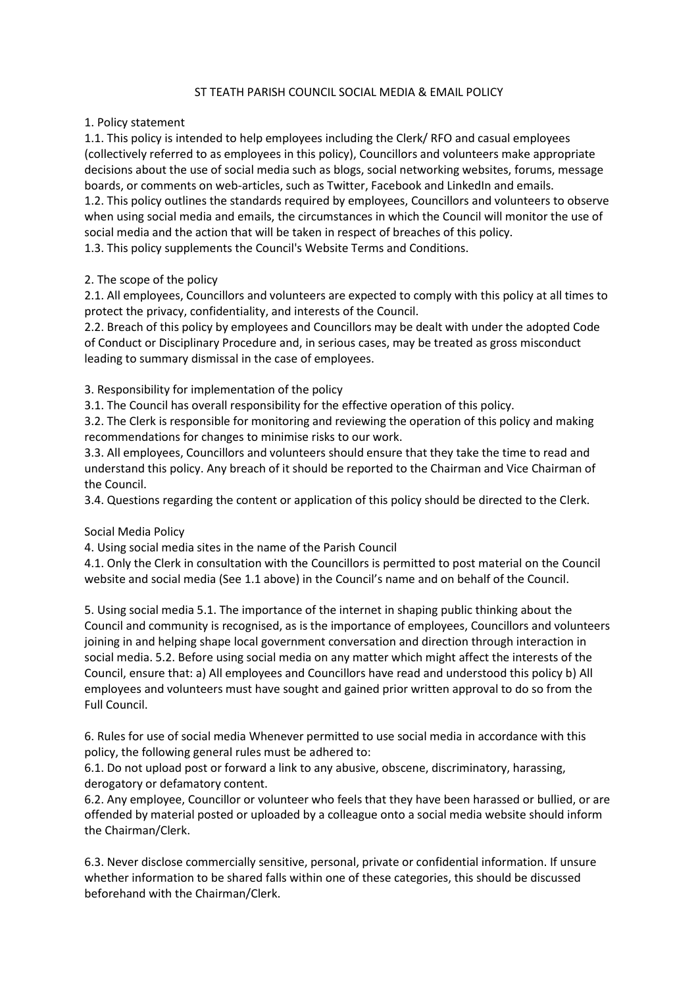## ST TEATH PARISH COUNCIL SOCIAL MEDIA & EMAIL POLICY

## 1. Policy statement

1.1. This policy is intended to help employees including the Clerk/ RFO and casual employees (collectively referred to as employees in this policy), Councillors and volunteers make appropriate decisions about the use of social media such as blogs, social networking websites, forums, message boards, or comments on web-articles, such as Twitter, Facebook and LinkedIn and emails. 1.2. This policy outlines the standards required by employees, Councillors and volunteers to observe when using social media and emails, the circumstances in which the Council will monitor the use of social media and the action that will be taken in respect of breaches of this policy. 1.3. This policy supplements the Council's Website Terms and Conditions.

## 2. The scope of the policy

2.1. All employees, Councillors and volunteers are expected to comply with this policy at all times to protect the privacy, confidentiality, and interests of the Council.

2.2. Breach of this policy by employees and Councillors may be dealt with under the adopted Code of Conduct or Disciplinary Procedure and, in serious cases, may be treated as gross misconduct leading to summary dismissal in the case of employees.

3. Responsibility for implementation of the policy

3.1. The Council has overall responsibility for the effective operation of this policy.

3.2. The Clerk is responsible for monitoring and reviewing the operation of this policy and making recommendations for changes to minimise risks to our work.

3.3. All employees, Councillors and volunteers should ensure that they take the time to read and understand this policy. Any breach of it should be reported to the Chairman and Vice Chairman of the Council.

3.4. Questions regarding the content or application of this policy should be directed to the Clerk.

## Social Media Policy

4. Using social media sites in the name of the Parish Council

4.1. Only the Clerk in consultation with the Councillors is permitted to post material on the Council website and social media (See 1.1 above) in the Council's name and on behalf of the Council.

5. Using social media 5.1. The importance of the internet in shaping public thinking about the Council and community is recognised, as is the importance of employees, Councillors and volunteers joining in and helping shape local government conversation and direction through interaction in social media. 5.2. Before using social media on any matter which might affect the interests of the Council, ensure that: a) All employees and Councillors have read and understood this policy b) All employees and volunteers must have sought and gained prior written approval to do so from the Full Council.

6. Rules for use of social media Whenever permitted to use social media in accordance with this policy, the following general rules must be adhered to:

6.1. Do not upload post or forward a link to any abusive, obscene, discriminatory, harassing, derogatory or defamatory content.

6.2. Any employee, Councillor or volunteer who feels that they have been harassed or bullied, or are offended by material posted or uploaded by a colleague onto a social media website should inform the Chairman/Clerk.

6.3. Never disclose commercially sensitive, personal, private or confidential information. If unsure whether information to be shared falls within one of these categories, this should be discussed beforehand with the Chairman/Clerk.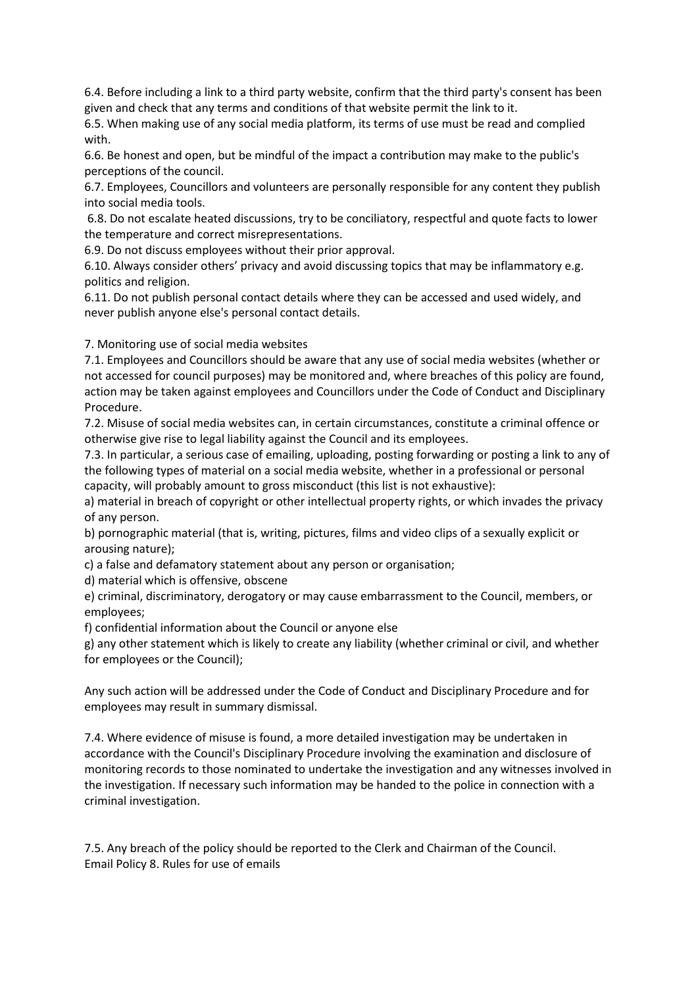6.4. Before including a link to a third party website, confirm that the third party's consent has been given and check that any terms and conditions of that website permit the link to it.

6.5. When making use of any social media platform, its terms of use must be read and complied with.

6.6. Be honest and open, but be mindful of the impact a contribution may make to the public's perceptions of the council.

6.7. Employees, Councillors and volunteers are personally responsible for any content they publish into social media tools.

6.8. Do not escalate heated discussions, try to be conciliatory, respectful and quote facts to lower the temperature and correct misrepresentations.

6.9. Do not discuss employees without their prior approval.

6.10. Always consider others' privacy and avoid discussing topics that may be inflammatory e.g. politics and religion.

6.11. Do not publish personal contact details where they can be accessed and used widely, and never publish anyone else's personal contact details.

7. Monitoring use of social media websites

7.1. Employees and Councillors should be aware that any use of social media websites (whether or not accessed for council purposes) may be monitored and, where breaches of this policy are found, action may be taken against employees and Councillors under the Code of Conduct and Disciplinary Procedure.

7.2. Misuse of social media websites can, in certain circumstances, constitute a criminal offence or otherwise give rise to legal liability against the Council and its employees.

7.3. In particular, a serious case of emailing, uploading, posting forwarding or posting a link to any of the following types of material on a social media website, whether in a professional or personal capacity, will probably amount to gross misconduct (this list is not exhaustive):

a) material in breach of copyright or other intellectual property rights, or which invades the privacy of any person.

b) pornographic material (that is, writing, pictures, films and video clips of a sexually explicit or arousing nature);

c) a false and defamatory statement about any person or organisation;

d) material which is offensive, obscene

e) criminal, discriminatory, derogatory or may cause embarrassment to the Council, members, or employees;

f) confidential information about the Council or anyone else

g) any other statement which is likely to create any liability (whether criminal or civil, and whether for employees or the Council);

Any such action will be addressed under the Code of Conduct and Disciplinary Procedure and for employees may result in summary dismissal.

7.4. Where evidence of misuse is found, a more detailed investigation may be undertaken in accordance with the Council's Disciplinary Procedure involving the examination and disclosure of monitoring records to those nominated to undertake the investigation and any witnesses involved in the investigation. If necessary such information may be handed to the police in connection with a criminal investigation.

7.5. Any breach of the policy should be reported to the Clerk and Chairman of the Council. Email Policy 8. Rules for use of emails